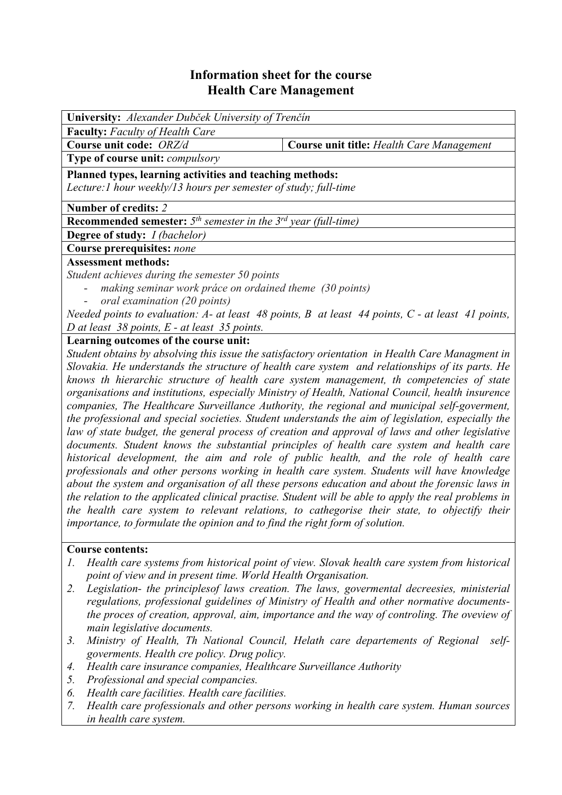## **Information sheet for the course Health Care Management**

| <b>University:</b> Alexander Dubček University of Trenčín                                                |                                           |  |  |  |  |  |
|----------------------------------------------------------------------------------------------------------|-------------------------------------------|--|--|--|--|--|
| <b>Faculty:</b> Faculty of Health Care                                                                   |                                           |  |  |  |  |  |
| Course unit code: ORZ/d                                                                                  | Course unit title: Health Care Management |  |  |  |  |  |
| <b>Type of course unit: <i>compulsory</i></b>                                                            |                                           |  |  |  |  |  |
| Planned types, learning activities and teaching methods:                                                 |                                           |  |  |  |  |  |
| Lecture: 1 hour weekly/13 hours per semester of study; full-time                                         |                                           |  |  |  |  |  |
| Number of credits: 2                                                                                     |                                           |  |  |  |  |  |
| <b>Recommended semester:</b> $5th$ semester in the $3rd$ year (full-time)                                |                                           |  |  |  |  |  |
| <b>Degree of study:</b> <i>I (bachelor)</i>                                                              |                                           |  |  |  |  |  |
| <b>Course prerequisites: none</b>                                                                        |                                           |  |  |  |  |  |
| <b>Assessment methods:</b>                                                                               |                                           |  |  |  |  |  |
| Student achieves during the semester 50 points                                                           |                                           |  |  |  |  |  |
| making seminar work práce on ordained theme (30 points)                                                  |                                           |  |  |  |  |  |
| oral examination (20 points)                                                                             |                                           |  |  |  |  |  |
| Needed points to evaluation: $A$ - at least 48 points, $B$ at least 44 points, $C$ - at least 41 points, |                                           |  |  |  |  |  |
| D at least $38$ points, E - at least $35$ points.                                                        |                                           |  |  |  |  |  |

## **Learning outcomes of the course unit:**

*Student obtains by absolving this issue the satisfactory orientation in Health Care Managment in Slovakia. He understands the structure of health care system and relationships of its parts. He knows th hierarchic structure of health care system management, th competencies of state organisations and institutions, especially Ministry of Health, National Council, health insurence companies, The Healthcare Surveillance Authority, the regional and municipal self-goverment, the professional and special societies. Student understands the aim of legislation, especially the law of state budget, the general process of creation and approval of laws and other legislative documents. Student knows the substantial principles of health care system and health care historical development, the aim and role of public health, and the role of health care professionals and other persons working in health care system. Students will have knowledge about the system and organisation of all these persons education and about the forensic laws in the relation to the applicated clinical practise. Student will be able to apply the real problems in the health care system to relevant relations, to cathegorise their state, to objectify their importance, to formulate the opinion and to find the right form of solution.*

## **Course contents:**

- *1. Health care systems from historical point of view. Slovak health care system from historical point of view and in present time. World Health Organisation.*
- *2. Legislation- the principlesof laws creation. The laws, govermental decreesies, ministerial regulations, professional guidelines of Ministry of Health and other normative documentsthe proces of creation, approval, aim, importance and the way of controling. The oveview of main legislative documents.*
- *3. Ministry of Health, Th National Council, Helath care departements of Regional selfgoverments. Health cre policy. Drug policy.*
- *4. Health care insurance companies, Healthcare Surveillance Authority*
- *5. Professional and special compancies.*
- *6. Health care facilities. Health care facilities.*
- *7. Health care professionals and other persons working in health care system. Human sources in health care system.*